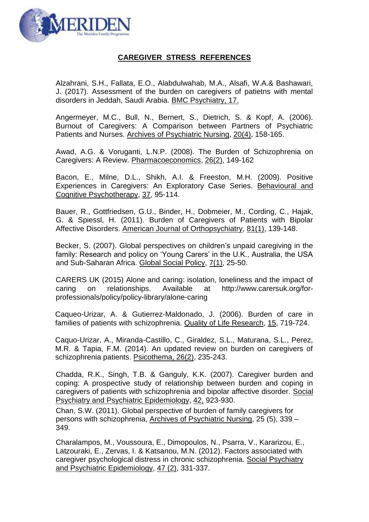

## **CAREGIVER STRESS REFERENCES**

Alzahrani, S.H., Fallata, E.O., Alabdulwahab, M.A., Alsafi, W.A.& Bashawari, J. (2017). Assessment of the burden on caregivers of patietns with mental disorders in Jeddah, Saudi Arabia. BMC Psychiatry, 17.

Angermeyer, M.C., Bull, N., Bernert, S., Dietrich, S. & Kopf, A. (2006). Burnout of Caregivers: A Comparison between Partners of Psychiatric Patients and Nurses. Archives of Psychiatric Nursing, 20(4), 158-165.

Awad, A.G. & Voruganti, L.N.P. (2008). The Burden of Schizophrenia on Caregivers: A Review. Pharmacoeconomics, 26(2), 149-162

Bacon, E., Milne, D.L., Shikh, A.I. & Freeston, M.H. (2009). Positive Experiences in Caregivers: An Exploratory Case Series. Behavioural and Cognitive Psychotherapy, 37, 95-114.

Bauer, R., Gottfriedsen, G.U., Binder, H., Dobmeier, M., Cording, C., Hajak, G. & Spiessl, H. (2011). Burden of Caregivers of Patients with Bipolar Affective Disorders. American Journal of Orthopsychiatry, 81(1), 139-148.

Becker, S. (2007). Global perspectives on children's unpaid caregiving in the family: Research and policy on 'Young Carers' in the U.K., Australia, the USA and Sub-Saharan Africa. Global Social Policy, 7(1), 25-50.

CARERS UK (2015) Alone and caring: isolation, loneliness and the impact of caring on relationships. Available at http://www.carersuk.org/forprofessionals/policy/policy-library/alone-caring

Caqueo-Urizar, A. & Gutierrez-Maldonado, J. (2006). Burden of care in families of patients with schizophrenia. Quality of Life Research, 15, 719-724.

Caquo-Urizar, A., Miranda-Castillo, C., Giraldez, S.L., Maturana, S.L., Perez, M.R. & Tapia, F.M. (2014). An updated review on burden on caregivers of schizophrenia patients. Psicothema, 26(2), 235-243.

Chadda, R.K., Singh, T.B. & Ganguly, K.K. (2007). Caregiver burden and coping: A prospective study of relationship between burden and coping in caregivers of patients with schizophrenia and bipolar affective disorder. Social Psychiatry and Psychiatric Epidemiology, 42, 923-930.

Chan, S.W. (2011). Global perspective of burden of family caregivers for persons with schizophrenia, Archives of Psychiatric Nursing, 25 (5), 339 – 349.

Charalampos, M., Voussoura, E., Dimopoulos, N., Psarra, V., Kararizou, E., Latzouraki, E., Zervas, I. & Katsanou, M.N. (2012). Factors associated with caregiver psychological distress in chronic schizophrenia. Social Psychiatry and Psychiatric Epidemiology, 47 (2), 331-337.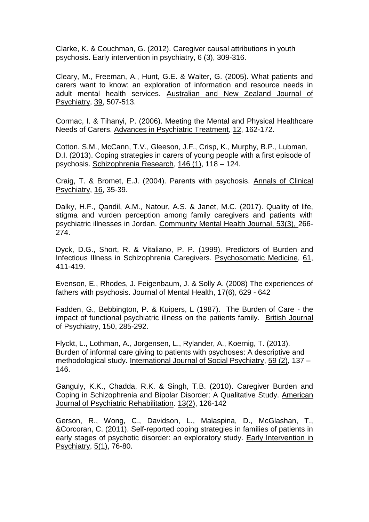Clarke, K. & Couchman, G. (2012). Caregiver causal attributions in youth psychosis. Early intervention in psychiatry, 6 (3), 309-316.

Cleary, M., Freeman, A., Hunt, G.E. & Walter, G. (2005). What patients and carers want to know: an exploration of information and resource needs in adult mental health services. Australian and New Zealand Journal of Psychiatry, 39, 507-513.

Cormac, I. & Tihanyi, P. (2006). Meeting the Mental and Physical Healthcare Needs of Carers. Advances in Psychiatric Treatment, 12, 162-172.

Cotton. S.M., McCann, T.V., Gleeson, J.F., Crisp, K., Murphy, B.P., Lubman, D.I. (2013). Coping strategies in carers of young people with a first episode of psychosis. Schizophrenia Research, 146 (1), 118 – 124.

Craig, T. & Bromet, E.J. (2004). Parents with psychosis. Annals of Clinical Psychiatry, 16, 35-39.

Dalky, H.F., Qandil, A.M., Natour, A.S. & Janet, M.C. (2017). Quality of life, stigma and vurden perception among family caregivers and patients with psychiatric illnesses in Jordan. Community Mental Health Journal, 53(3), 266- 274.

Dyck, D.G., Short, R. & Vitaliano, P. P. (1999). Predictors of Burden and Infectious Illness in Schizophrenia Caregivers. Psychosomatic Medicine, 61, 411-419.

Evenson, E., Rhodes, J. Feigenbaum, J. & Solly A. (2008) The experiences of fathers with psychosis. Journal of Mental Health, 17(6), 629 - 642

Fadden, G., Bebbington, P. & Kuipers, L (1987). The Burden of Care - the impact of functional psychiatric illness on the patients family. British Journal of Psychiatry, 150, 285-292.

Flyckt, L., Lothman, A., Jorgensen, L., Rylander, A., Koernig, T. (2013). Burden of informal care giving to patients with psychoses: A descriptive and methodological study. International Journal of Social Psychiatry, 59 (2), 137 – 146.

Ganguly, K.K., Chadda, R.K. & Singh, T.B. (2010). Caregiver Burden and Coping in Schizophrenia and Bipolar Disorder: A Qualitative Study. American Journal of Psychiatric Rehabilitation. 13(2), 126-142

Gerson, R., Wong, C., Davidson, L., Malaspina, D., McGlashan, T., &Corcoran, C. (2011). Self-reported coping strategies in families of patients in early stages of psychotic disorder: an exploratory study. Early Intervention in Psychiatry, 5(1), 76-80.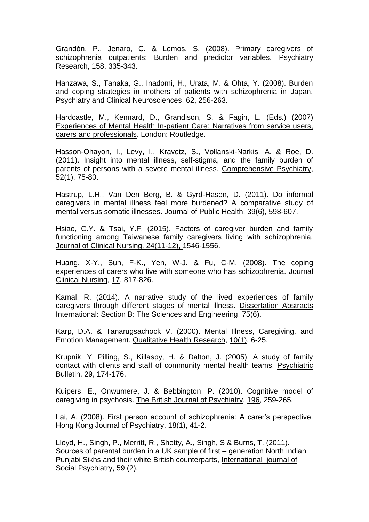Grandón, P., Jenaro, C. & Lemos, S. (2008). Primary caregivers of schizophrenia outpatients: Burden and predictor variables. Psychiatry Research, 158, 335-343.

Hanzawa, S., Tanaka, G., Inadomi, H., Urata, M. & Ohta, Y. (2008). Burden and coping strategies in mothers of patients with schizophrenia in Japan. Psychiatry and Clinical Neurosciences, 62, 256-263.

Hardcastle, M., Kennard, D., Grandison, S. & Fagin, L. (Eds.) (2007) Experiences of Mental Health In-patient Care: Narratives from service users, carers and professionals. London: Routledge.

Hasson-Ohayon, I., Levy, I., Kravetz, S., Vollanski-Narkis, A. & Roe, D. (2011). Insight into mental illness, self-stigma, and the family burden of parents of persons with a severe mental illness. Comprehensive Psychiatry, 52(1), 75-80.

Hastrup, L.H., Van Den Berg, B. & Gyrd-Hasen, D. (2011). Do informal caregivers in mental illness feel more burdened? A comparative study of mental versus somatic illnesses. Journal of Public Health, 39(6), 598-607.

Hsiao, C.Y. & Tsai, Y.F. (2015). Factors of caregiver burden and family functioning among Taiwanese family caregivers living with schizophrenia. Journal of Clinical Nursing, 24(11-12), 1546-1556.

Huang, X-Y., Sun, F-K., Yen, W-J. & Fu, C-M. (2008). The coping experiences of carers who live with someone who has schizophrenia. Journal Clinical Nursing, 17, 817-826.

Kamal, R. (2014). A narrative study of the lived experiences of family caregivers through different stages of mental illness. Dissertation Abstracts International: Section B: The Sciences and Engineering, 75(6).

Karp, D.A. & Tanarugsachock V. (2000). Mental Illness, Caregiving, and Emotion Management. Qualitative Health Research, 10(1), 6-25.

Krupnik, Y. Pilling, S., Killaspy, H. & Dalton, J. (2005). A study of family contact with clients and staff of community mental health teams. Psychiatric Bulletin, 29, 174-176.

Kuipers, E., Onwumere, J. & Bebbington, P. (2010). Cognitive model of caregiving in psychosis. The British Journal of Psychiatry, 196, 259-265.

Lai, A. (2008). First person account of schizophrenia: A carer's perspective. Hong Kong Journal of Psychiatry, 18(1), 41-2.

Lloyd, H., Singh, P., Merritt, R., Shetty, A., Singh, S & Burns, T. (2011). Sources of parental burden in a UK sample of first – generation North Indian Punjabi Sikhs and their white British counterparts, International journal of Social Psychiatry, 59 (2).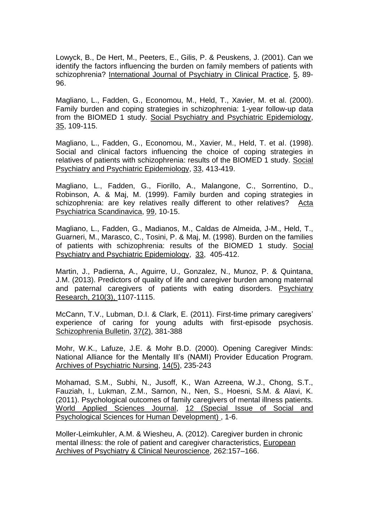Lowyck, B., De Hert, M., Peeters, E., Gilis, P. & Peuskens, J. (2001). Can we identify the factors influencing the burden on family members of patients with schizophrenia? International Journal of Psychiatry in Clinical Practice, 5, 89-96.

Magliano, L., Fadden, G., Economou, M., Held, T., Xavier, M. et al. (2000). Family burden and coping strategies in schizophrenia: 1-year follow-up data from the BIOMED 1 study. Social Psychiatry and Psychiatric Epidemiology, 35, 109-115.

Magliano, L., Fadden, G., Economou, M., Xavier, M., Held, T. et al. (1998). Social and clinical factors influencing the choice of coping strategies in relatives of patients with schizophrenia: results of the BIOMED 1 study. Social Psychiatry and Psychiatric Epidemiology, 33, 413-419.

Magliano, L., Fadden, G., Fiorillo, A., Malangone, C., Sorrentino, D., Robinson, A. & Maj, M. (1999). Family burden and coping strategies in schizophrenia: are key relatives really different to other relatives? Acta Psychiatrica Scandinavica, 99, 10-15.

Magliano, L., Fadden, G., Madianos, M., Caldas de Almeida, J-M., Held, T., Guarneri, M., Marasco, C., Tosini, P. & Maj, M. (1998). Burden on the families of patients with schizophrenia: results of the BIOMED 1 study. Social Psychiatry and Psychiatric Epidemiology, 33,405-412.

Martin, J., Padierna, A., Aguirre, U., Gonzalez, N., Munoz, P. & Quintana, J.M. (2013). Predictors of quality of life and caregiver burden among maternal and paternal caregivers of patients with eating disorders. Psychiatry Research, 210(3), 1107-1115.

McCann, T.V., Lubman, D.I. & Clark, E. (2011). First-time primary caregivers' experience of caring for young adults with first-episode psychosis. Schizophrenia Bulletin, 37(2), 381-388

Mohr, W.K., Lafuze, J.E. & Mohr B.D. (2000). Opening Caregiver Minds: National Alliance for the Mentally Ill's (NAMI) Provider Education Program. Archives of Psychiatric Nursing, 14(5), 235-243

Mohamad, S.M., Subhi, N., Jusoff, K., Wan Azreena, W.J., Chong, S.T., Fauziah, I., Lukman, Z.M., Sarnon, N., Nen, S., Hoesni, S.M. & Alavi, K. (2011). Psychological outcomes of family caregivers of mental illness patients. World Applied Sciences Journal, 12 (Special Issue of Social and Psychological Sciences for Human Development) , 1-6.

Moller-Leimkuhler, A.M. & Wiesheu, A. (2012). Caregiver burden in chronic mental illness: the role of patient and caregiver characteristics, European Archives of Psychiatry & Clinical Neuroscience, 262:157–166.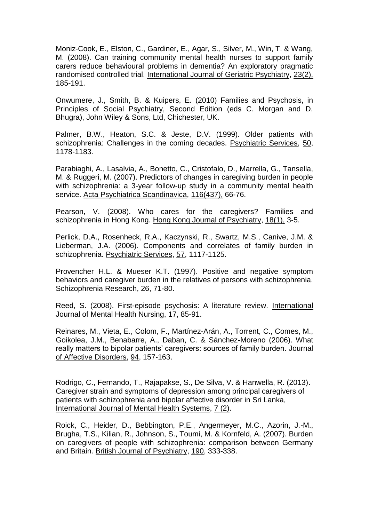Moniz-Cook, E., Elston, C., Gardiner, E., Agar, S., Silver, M., Win, T. & Wang, M. (2008). Can training community mental health nurses to support family carers reduce behavioural problems in dementia? An exploratory pragmatic randomised controlled trial. International Journal of Geriatric Psychiatry, 23(2), 185-191.

Onwumere, J., Smith, B. & Kuipers, E. (2010) Families and Psychosis, in Principles of Social Psychiatry, Second Edition (eds C. Morgan and D. Bhugra), John Wiley & Sons, Ltd, Chichester, UK.

Palmer, B.W., Heaton, S.C. & Jeste, D.V. (1999). Older patients with schizophrenia: Challenges in the coming decades. Psychiatric Services, 50, 1178-1183.

Parabiaghi, A., Lasalvia, A., Bonetto, C., Cristofalo, D., Marrella, G., Tansella, M. & Ruggeri, M. (2007). Predictors of changes in caregiving burden in people with schizophrenia: a 3-year follow-up study in a community mental health service. Acta Psychiatrica Scandinavica, 116(437), 66-76.

Pearson, V. (2008). Who cares for the caregivers? Families and schizophrenia in Hong Kong. Hong Kong Journal of Psychiatry, 18(1), 3-5.

Perlick, D.A., Rosenheck, R.A., Kaczynski, R., Swartz, M.S., Canive, J.M. & Lieberman, J.A. (2006). Components and correlates of family burden in schizophrenia. Psychiatric Services, 57, 1117-1125.

Provencher H.L. & Mueser K.T. (1997). Positive and negative symptom behaviors and caregiver burden in the relatives of persons with schizophrenia. Schizophrenia Research, 26, 71-80.

Reed, S. (2008). First-episode psychosis: A literature review. International Journal of Mental Health Nursing, 17, 85-91.

Reinares, M., Vieta, E., Colom, F., Martínez-Arán, A., Torrent, C., Comes, M., Goikolea, J.M., Benabarre, A., Daban, C. & Sánchez-Moreno (2006). What really matters to bipolar patients' caregivers: sources of family burden. Journal of Affective Disorders, 94, 157-163.

Rodrigo, C., Fernando, T., Rajapakse, S., De Silva, V. & Hanwella, R. (2013). Caregiver strain and symptoms of depression among principal caregivers of patients with schizophrenia and bipolar affective disorder in Sri Lanka, International Journal of Mental Health Systems, 7 (2).

Roick, C., Heider, D., Bebbington, P.E., Angermeyer, M.C., Azorin, J.-M., Brugha, T.S., Kilian, R., Johnson, S., Toumi, M. & Kornfeld, A. (2007). Burden on caregivers of people with schizophrenia: comparison between Germany and Britain. British Journal of Psychiatry, 190, 333-338.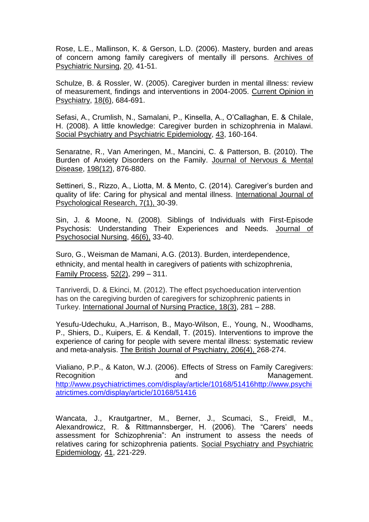Rose, L.E., Mallinson, K. & Gerson, L.D. (2006). Mastery, burden and areas of concern among family caregivers of mentally ill persons. Archives of Psychiatric Nursing, 20, 41-51.

Schulze, B. & Rossler, W. (2005). Caregiver burden in mental illness: review of measurement, findings and interventions in 2004-2005. Current Opinion in Psychiatry, 18(6), 684-691.

Sefasi, A., Crumlish, N., Samalani, P., Kinsella, A., O'Callaghan, E. & Chilale, H. (2008). A little knowledge: Caregiver burden in schizophrenia in Malawi. Social Psychiatry and Psychiatric Epidemiology, 43, 160-164.

Senaratne, R., Van Ameringen, M., Mancini, C. & Patterson, B. (2010). The Burden of Anxiety Disorders on the Family. Journal of Nervous & Mental Disease, 198(12), 876-880.

Settineri, S., Rizzo, A., Liotta, M. & Mento, C. (2014). Caregiver's burden and quality of life: Caring for physical and mental illness. International Journal of Psychological Research, 7(1), 30-39.

Sin, J. & Moone, N. (2008). Siblings of Individuals with First-Episode Psychosis: Understanding Their Experiences and Needs. Journal of Psychosocial Nursing, 46(6), 33-40.

Suro, G., Weisman de Mamani, A.G. (2013). Burden, interdependence, ethnicity, and mental health in caregivers of patients with schizophrenia, Family Process, 52(2), 299 – 311.

Tanriverdi, D. & Ekinci, M. (2012). The effect psychoeducation intervention has on the caregiving burden of caregivers for schizophrenic patients in Turkey. International Journal of Nursing Practice, 18(3), 281 – 288.

Yesufu-Udechuku, A.,Harrison, B., Mayo-Wilson, E., Young, N., Woodhams, P., Shiers, D., Kuipers, E. & Kendall, T. (2015). Interventions to improve the experience of caring for people with severe mental illness: systematic review and meta-analysis. The British Journal of Psychiatry, 206(4), 268-274.

Vialiano, P.P., & Katon, W.J. (2006). Effects of Stress on Family Caregivers: Recognition and and Management. [http://www.psychiatrictimes.com/display/article/10168/51416http://www.psychi](http://www.psychiatrictimes.com/display/article/10168/51416http:/www.psychiatrictimes.com/display/article/10168/51416) [atrictimes.com/display/article/10168/51416](http://www.psychiatrictimes.com/display/article/10168/51416http:/www.psychiatrictimes.com/display/article/10168/51416)

Wancata, J., Krautgartner, M., Berner, J., Scumaci, S., Freidl, M., Alexandrowicz, R. & Rittmannsberger, H. (2006). The "Carers' needs assessment for Schizophrenia": An instrument to assess the needs of relatives caring for schizophrenia patients. Social Psychiatry and Psychiatric Epidemiology, 41, 221-229.